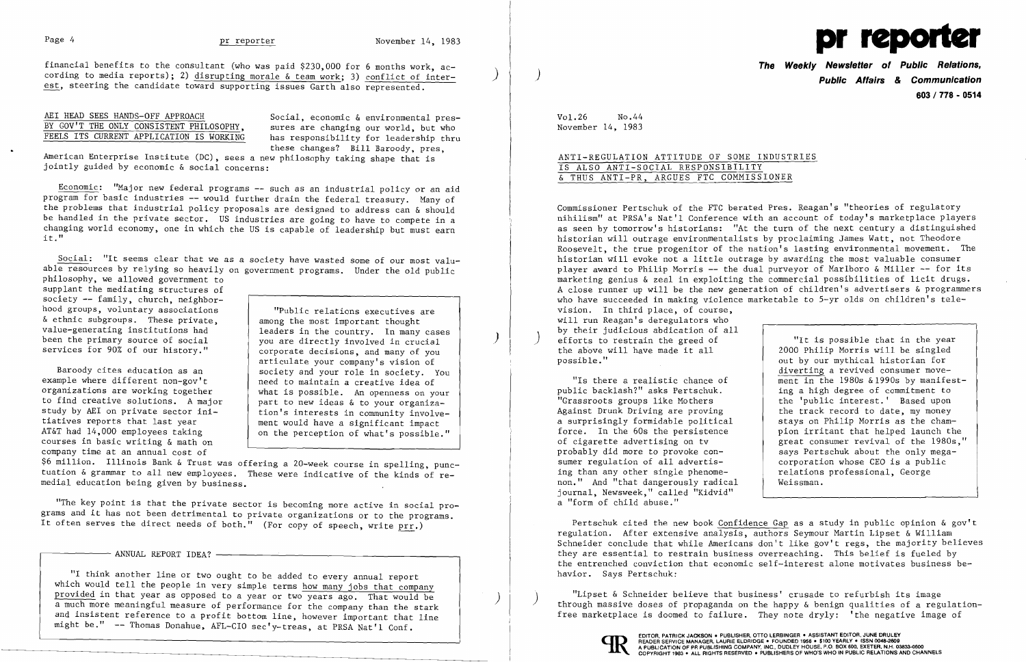# Page 4 pr reporter

### AEI HEAD SEES HANDS-OFF APPROACH BY GOV'T THE ONLY CONSISTENT PHILOSOPHY, FEELS ITS CURRENT APPLICATION IS WORKING

Social, economic & environmental pressures are changing our world, but who has responsibility for leadership thru these changes? Bill Baroody, pres,

 $\big)$ 

American Enterprise Institute (DC), sees a new philosophy taking shape that is jointly guided by economic & social concerns:

Economic: "Major new federal programs -- such as an industrial policy or an aid program for basic industries -- would further drain the federal treasury. Many of the problems that industrial policy proposals are designed to address can & should be handled in the private sector. US industries are going to have to compete in a changing world economy, one in which the US is capable of leadership but must earn it."

> "Public relations executives are among the most important thought leaders in the country. In many cases you are directly involved in crucial corporate decisions, and many of you articulate your company's vision of society and your role in society. You need to maintain a creative idea of what is possible. An openness on your part to new ideas & to your organization's interests in community involvement would have a significant impact on the perception of what's possible."

Social: "It seems clear that we as a society have wasted some of our most valuable resources by relying so heavily on government programs. Under the old public philosophy, we allowed government to

supplant the mediating structures of society -- family, church, neighborhood groups, voluntary associations & ethnic subgroups. These private, value-generating institutions had been the primary source of social services for 90% of our history."

Baroody cites education as an example where different non-gov't organizations are working together to find creative solutions. A major study by AEI on private sector initiatives reports that last year AT&T had 14,000 employees taking courses in basic writing & math on company time at an annual cost of

\$6 million. Illinois Bank & Trust was offering a 20-week course in spelling, punctuation & grammar to all new employees. These were indicative of the kinds of remedial education being given by business.

"The key point is that the private sector is becoming more active in social programs and it has not been detrimental to private organizations or to the programs. It often serves the direct needs of both." (For copy of speech, write prr.)

ANNUAL REPORT IDEA?

"I think another line or two ought to be added to every annual report which would tell the people in very simple terms how many jobs that company provided in that year as opposed to a year or two years ago. That would be a much more meaningful measure of performance for the company than the stark and insistent reference to a profit bottom line, however important that line might be." -- Thomas Donahue, AFL-CIO sec'y-treas, at PRSA Nat'l Conf.

"Lipset & Schneider believe that business' crusade to refurbish its image<br>through massive doses of propaganda on the happy & benign qualities of a regulationfree marketplace is doomed to failure. They note dryly: 'the negative image of



)

)

financial benefits to the consultant (who was paid \$230,000 for 6 months work, according to media reports); 2) disrupting morale & team work; 3) conflict of interest, steering the candidate toward supporting issues Garth also represented.



**The Weekly Newsletter of Public Relations,** ) **Public Affairs & Communication 603 I 778 - 0514** 

Vol.26 No.44 November 14, 1983

## ANTI-REGULATION ATTITUDE OF SOME INDUSTRIES IS ALSO ANTI-SOCIAL RESPONSIBILITY & THUS ANTI-PR, ARGUES FTC COMMISSIONER

Commissioner Pertschuk of the FTC berated Pres. Reagan's "theories of regulatory nihilism" at PRSA's Nat'l Conference with an account of today's marketplace players as seen by tomorrow's historians: "At the turn of the next century a distinguished historian will outrage environmentalists by proclaiming James Watt, not Theodore Roosevelt, the true progenitor of the nation's lasting environmental movement. The historian will evoke not a little outrage by awarding the most valuable consumer player award to Philip Morris -- the dual purveyor of Marlboro & Miller -- for its marketing genius & zeal in exploiting the commercial possibilities of licit drugs. A close runner up will be the new generation of children's advertisers & programmers who have succeeded in making violence marketable to 5-yr olds on children's television. In third place, of course, will run Reagan's deregulators who by their judicious abdication of all efforts to restrain the greed of the above will have made it all possible." "It is possible that in the year 2000 Philip Morris will be singled

"Is there a realistic chance of public backlash?" asks Pertschuk. "Grassroots groups like Mothers Against Drunk Driving are proving a surprisingly formidable political force. In the 60s the persistence of cigarette advertising on tv probably did more to provoke consumer regulation of all advertising than any other single phenomenon." And "that dangerously radical journal, Newsweek," called "Kidvid" a "form of child abuse."

out by our mythical historian for diverting a revived consumer movement in the 1980s &1990s by manifesting a high degree of commitment to the 'public interest.' Based upon the track record to date, my money stays on Philip Morris as the champion irritant that helped launch the great consumer revival of the 1980s," says Pertschuk about the only megacorporation whose CEO is a public relations professional, George Weissman.

Pertschuk cited the new book Confidence Gap as a study in public opinion & gov't regulation. After extensive analysis, authors Seymour Martin Lipset & William Schneider conclude that while Americans don't like gov't regs, the majority believes they are essential to restrain business overreaching. This belief is fueled by the entrenched conviction that economic self-interest alone motivates business behavior. Says Pertschuk:

I